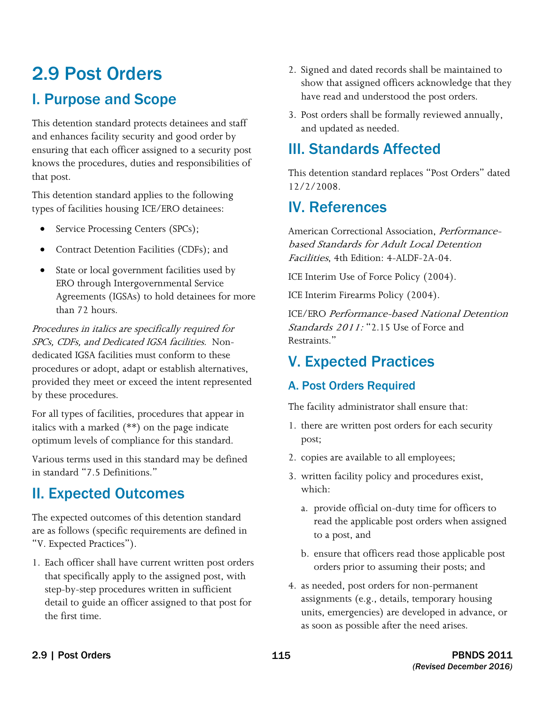# 2.9 Post Orders I. Purpose and Scope

 knows the procedures, duties and responsibilities of This detention standard protects detainees and staff and enhances facility security and good order by ensuring that each officer assigned to a security post that post.

This detention standard applies to the following types of facilities housing ICE/ERO detainees:

- Service Processing Centers (SPCs);
- Contract Detention Facilities (CDFs); and
- State or local government facilities used by ERO through Intergovernmental Service Agreements (IGSAs) to hold detainees for more than 72 hours.

 SPCs, CDFs, and Dedicated IGSA facilities. Non-Procedures in italics are specifically required for dedicated IGSA facilities must conform to these procedures or adopt, adapt or establish alternatives, provided they meet or exceed the intent represented by these procedures.

For all types of facilities, procedures that appear in italics with a marked (\*\*) on the page indicate optimum levels of compliance for this standard.

Various terms used in this standard may be defined in standard "7.5 Definitions."

### II. Expected Outcomes

The expected outcomes of this detention standard are as follows (specific requirements are defined in "V. Expected Practices").

1. Each officer shall have current written post orders that specifically apply to the assigned post, with step-by-step procedures written in sufficient detail to guide an officer assigned to that post for the first time.

- 2. Signed and dated records shall be maintained to show that assigned officers acknowledge that they have read and understood the post orders.
- 3. Post orders shall be formally reviewed annually, and updated as needed.

## III. Standards Affected

This detention standard replaces "Post Orders" dated 12/2/2008.

### IV. References

American Correctional Association, Performancebased Standards for Adult Local Detention Facilities, 4th Edition: 4-ALDF-2A-04.

ICE Interim Use of Force Policy (2004).

ICE Interim Firearms Policy (2004).

ICE/ERO Performance-based National Detention Standards 2011: "2.15 Use of Force and Restraints."

## V. Expected Practices

#### A. Post Orders Required

The facility administrator shall ensure that:

- 1. there are written post orders for each security post;
- 2. copies are available to all employees;
- 3. written facility policy and procedures exist, which:
	- a. provide official on-duty time for officers to read the applicable post orders when assigned to a post, and
	- b. ensure that officers read those applicable post orders prior to assuming their posts; and
- 4. as needed, post orders for non-permanent assignments (e.g., details, temporary housing units, emergencies) are developed in advance, or as soon as possible after the need arises.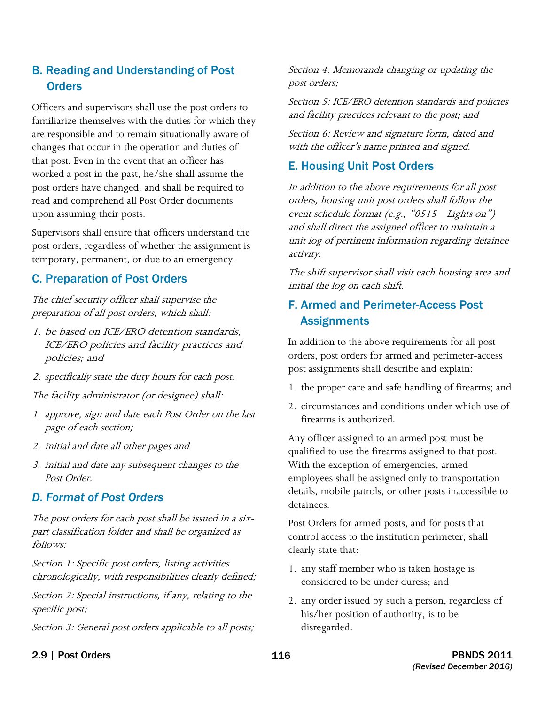#### B. Reading and Understanding of Post **Orders**

 are responsible and to remain situationally aware of Officers and supervisors shall use the post orders to familiarize themselves with the duties for which they changes that occur in the operation and duties of that post. Even in the event that an officer has worked a post in the past, he/she shall assume the post orders have changed, and shall be required to read and comprehend all Post Order documents upon assuming their posts.

 post orders, regardless of whether the assignment is Supervisors shall ensure that officers understand the temporary, permanent, or due to an emergency.

#### C. Preparation of Post Orders

The chief security officer shall supervise the preparation of all post orders, which shall:

- 1. be based on ICE/ERO detention standards, ICE/ERO policies and facility practices and policies; and
- 2. specifically state the duty hours for each post.

The facility administrator (or designee) shall:

- 1. approve, sign and date each Post Order on the last page of each section;
- 2. initial and date all other pages and
- 3. initial and date any subsequent changes to the Post Order.

#### *D. Format of Post Orders*

The post orders for each post shall be issued in a sixpart classification folder and shall be organized as follows:

 chronologically, with responsibilities clearly defined; Section 1: Specific post orders, listing activities

Section 2: Special instructions, if any, relating to the specific post;

Section 3: General post orders applicable to all posts;

Section 4: Memoranda changing or updating the post orders;

Section 5: ICE/ERO detention standards and policies and facility practices relevant to the post; and

Section 6: Review and signature form, dated and with the officer's name printed and signed.

#### E. Housing Unit Post Orders

In addition to the above requirements for all post orders, housing unit post orders shall follow the event schedule format (e.g., "0515—Lights on") and shall direct the assigned officer to maintain a unit log of pertinent information regarding detainee activity.

The shift supervisor shall visit each housing area and initial the log on each shift.

#### F. Armed and Perimeter-Access Post **Assignments**

In addition to the above requirements for all post orders, post orders for armed and perimeter-access post assignments shall describe and explain:

- 1. the proper care and safe handling of firearms; and
- 2. circumstances and conditions under which use of firearms is authorized.

Any officer assigned to an armed post must be qualified to use the firearms assigned to that post. With the exception of emergencies, armed employees shall be assigned only to transportation details, mobile patrols, or other posts inaccessible to detainees.

Post Orders for armed posts, and for posts that control access to the institution perimeter, shall clearly state that:

- 1. any staff member who is taken hostage is considered to be under duress; and
- 2. any order issued by such a person, regardless of his/her position of authority, is to be disregarded.